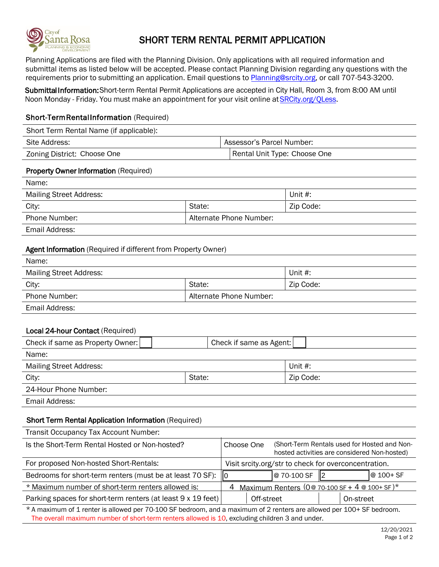

# SHORT TERM RENTAL PERMIT APPLICATION

Planning Applications are filed with the Planning Division. Only applications with all required information and submittal items as listed below will be accepted. Please contact Planning Division regarding any questions with the requirements prior to submitting an application. Email questions to [Planning@srcity.org](mailto:STR@srcity.org), or call 707-543-3200.

SubmittaI Information: Short-term Rental Permit Applications are accepted in City Hall, Room 3, from 8:00 AM until Noon Monday - Friday. You must make an appointment for your visit online at SRCity.org/QLess.

# Short-Term Rental Information (Required)

Short Term Rental Name (if applicable):

| Site Address:               | Assessor's Parcel Number:    |  |
|-----------------------------|------------------------------|--|
| Zoning District: Choose One | Rental Unit Type: Choose One |  |

## Property Owner Information (Required)

| Name:                          |                         |           |
|--------------------------------|-------------------------|-----------|
| <b>Mailing Street Address:</b> |                         | Unit #:   |
| City:                          | State:                  | Zip Code: |
| Phone Number:                  | Alternate Phone Number: |           |
|                                |                         |           |

Email Address:

## Agent Information (Required if different from Property Owner)

| Name:                          |                         |            |
|--------------------------------|-------------------------|------------|
| <b>Mailing Street Address:</b> |                         | Unit $#$ : |
| City:                          | State:                  | Zip Code:  |
| Phone Number:                  | Alternate Phone Number: |            |
| Email Address:                 |                         |            |

## Local 24-hour Contact (Required)

| Check if same as Property Owner: | Check if same as Agent: |            |
|----------------------------------|-------------------------|------------|
| Name:                            |                         |            |
| <b>Mailing Street Address:</b>   |                         | Unit $#$ : |
| City:                            | State:                  | Zip Code:  |
| 24-Hour Phone Number:            |                         |            |
| Email Address:                   |                         |            |

## Short Term Rental Application Information (Required)

| Transit Occupancy Tax Account Number:                        |                                                        |              |  |                                                                                              |
|--------------------------------------------------------------|--------------------------------------------------------|--------------|--|----------------------------------------------------------------------------------------------|
| Is the Short-Term Rental Hosted or Non-hosted?               | Choose One                                             |              |  | (Short-Term Rentals used for Hosted and Non-<br>hosted activities are considered Non-hosted) |
| For proposed Non-hosted Short-Rentals:                       | Visit srcity.org/str to check for overconcentration.   |              |  |                                                                                              |
| Bedrooms for short-term renters (must be at least 70 SF): 0  |                                                        | l@ 70-100 SF |  | $ @ 100 + SF$                                                                                |
| * Maximum number of short-term renters allowed is:           | Maximum Renters ( $0@ 70-100 SF + 4 @ 100+ SF$ )*<br>4 |              |  |                                                                                              |
| Parking spaces for short-term renters (at least 9 x 19 feet) | Off-street                                             |              |  | On-street                                                                                    |

\* A maximum of 1 renter is allowed per 70-100 SF bedroom, and a maximum of 2 renters are allowed per 100+ SF bedroom. The overall maximum number of short-term renters allowed is 10, excluding children 3 and under.